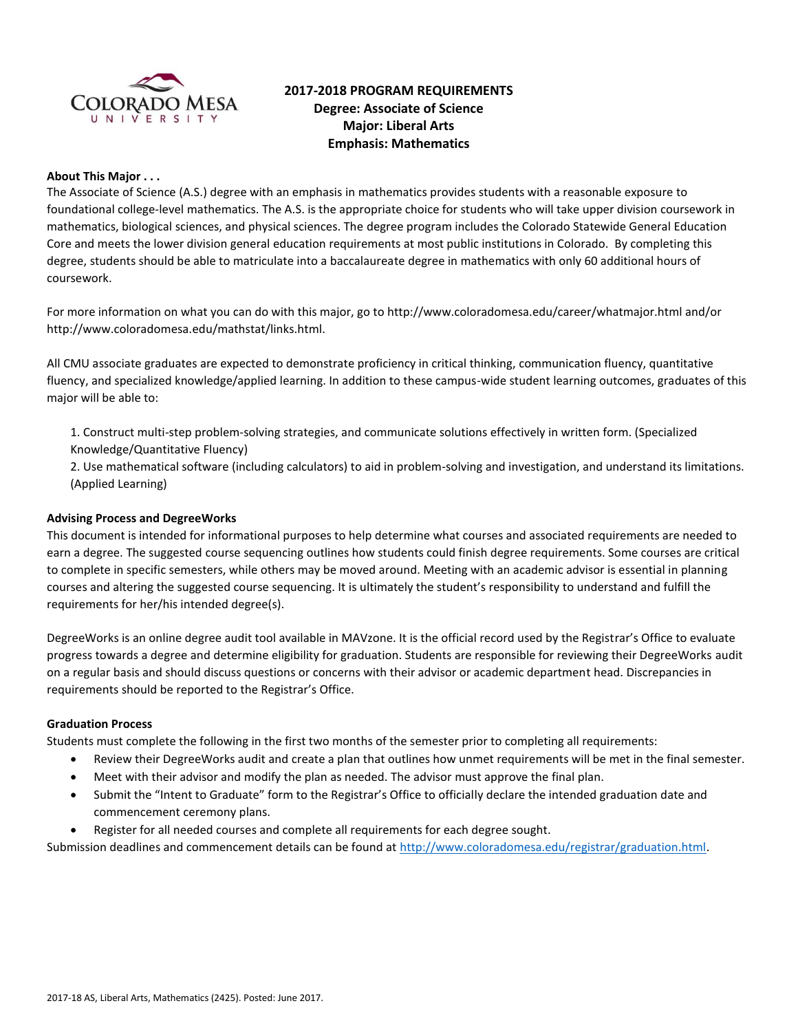

# **2017-2018 PROGRAM REQUIREMENTS Degree: Associate of Science Major: Liberal Arts Emphasis: Mathematics**

#### **About This Major . . .**

The Associate of Science (A.S.) degree with an emphasis in mathematics provides students with a reasonable exposure to foundational college-level mathematics. The A.S. is the appropriate choice for students who will take upper division coursework in mathematics, biological sciences, and physical sciences. The degree program includes the Colorado Statewide General Education Core and meets the lower division general education requirements at most public institutions in Colorado. By completing this degree, students should be able to matriculate into a baccalaureate degree in mathematics with only 60 additional hours of coursework.

For more information on what you can do with this major, go to http://www.coloradomesa.edu/career/whatmajor.html and/or http://www.coloradomesa.edu/mathstat/links.html.

All CMU associate graduates are expected to demonstrate proficiency in critical thinking, communication fluency, quantitative fluency, and specialized knowledge/applied learning. In addition to these campus-wide student learning outcomes, graduates of this major will be able to:

1. Construct multi-step problem-solving strategies, and communicate solutions effectively in written form. (Specialized Knowledge/Quantitative Fluency)

2. Use mathematical software (including calculators) to aid in problem-solving and investigation, and understand its limitations. (Applied Learning)

#### **Advising Process and DegreeWorks**

This document is intended for informational purposes to help determine what courses and associated requirements are needed to earn a degree. The suggested course sequencing outlines how students could finish degree requirements. Some courses are critical to complete in specific semesters, while others may be moved around. Meeting with an academic advisor is essential in planning courses and altering the suggested course sequencing. It is ultimately the student's responsibility to understand and fulfill the requirements for her/his intended degree(s).

DegreeWorks is an online degree audit tool available in MAVzone. It is the official record used by the Registrar's Office to evaluate progress towards a degree and determine eligibility for graduation. Students are responsible for reviewing their DegreeWorks audit on a regular basis and should discuss questions or concerns with their advisor or academic department head. Discrepancies in requirements should be reported to the Registrar's Office.

#### **Graduation Process**

Students must complete the following in the first two months of the semester prior to completing all requirements:

- Review their DegreeWorks audit and create a plan that outlines how unmet requirements will be met in the final semester.
- Meet with their advisor and modify the plan as needed. The advisor must approve the final plan.
- Submit the "Intent to Graduate" form to the Registrar's Office to officially declare the intended graduation date and commencement ceremony plans.
- Register for all needed courses and complete all requirements for each degree sought.

Submission deadlines and commencement details can be found at [http://www.coloradomesa.edu/registrar/graduation.html.](http://www.coloradomesa.edu/registrar/graduation.html)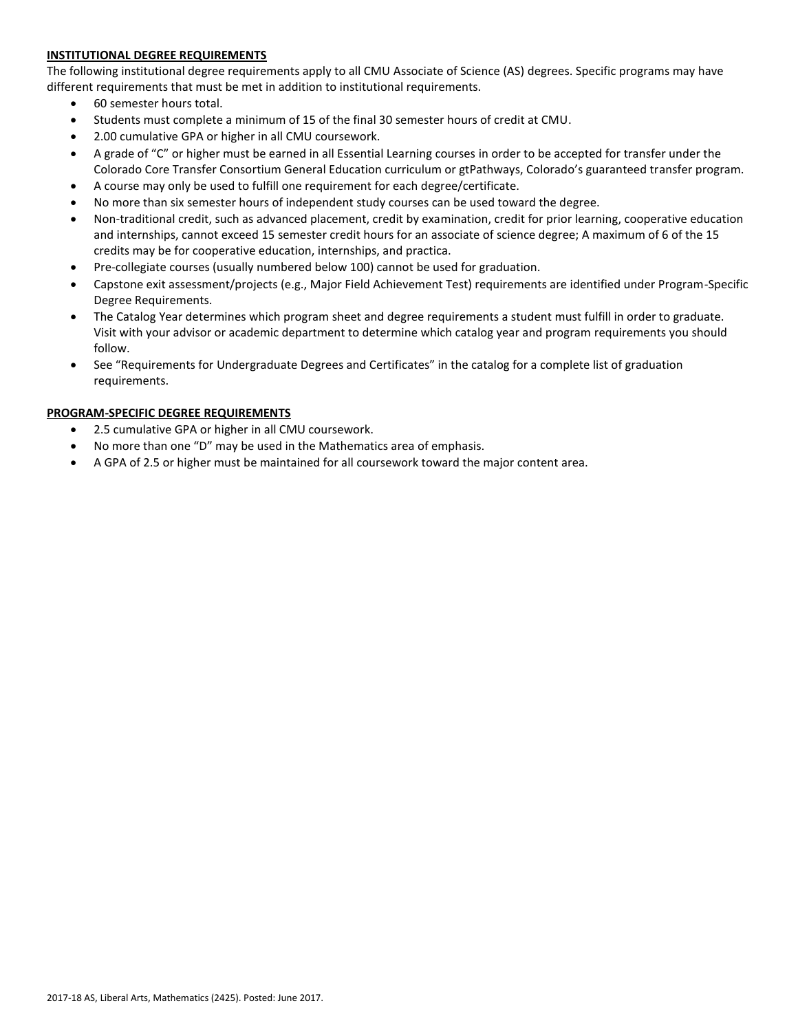## **INSTITUTIONAL DEGREE REQUIREMENTS**

The following institutional degree requirements apply to all CMU Associate of Science (AS) degrees. Specific programs may have different requirements that must be met in addition to institutional requirements.

- 60 semester hours total.
- Students must complete a minimum of 15 of the final 30 semester hours of credit at CMU.
- 2.00 cumulative GPA or higher in all CMU coursework.
- A grade of "C" or higher must be earned in all Essential Learning courses in order to be accepted for transfer under the Colorado Core Transfer Consortium General Education curriculum or gtPathways, Colorado's guaranteed transfer program.
- A course may only be used to fulfill one requirement for each degree/certificate.
- No more than six semester hours of independent study courses can be used toward the degree.
- Non-traditional credit, such as advanced placement, credit by examination, credit for prior learning, cooperative education and internships, cannot exceed 15 semester credit hours for an associate of science degree; A maximum of 6 of the 15 credits may be for cooperative education, internships, and practica.
- Pre-collegiate courses (usually numbered below 100) cannot be used for graduation.
- Capstone exit assessment/projects (e.g., Major Field Achievement Test) requirements are identified under Program-Specific Degree Requirements.
- The Catalog Year determines which program sheet and degree requirements a student must fulfill in order to graduate. Visit with your advisor or academic department to determine which catalog year and program requirements you should follow.
- See "Requirements for Undergraduate Degrees and Certificates" in the catalog for a complete list of graduation requirements.

#### **PROGRAM-SPECIFIC DEGREE REQUIREMENTS**

- 2.5 cumulative GPA or higher in all CMU coursework.
- No more than one "D" may be used in the Mathematics area of emphasis.
- A GPA of 2.5 or higher must be maintained for all coursework toward the major content area.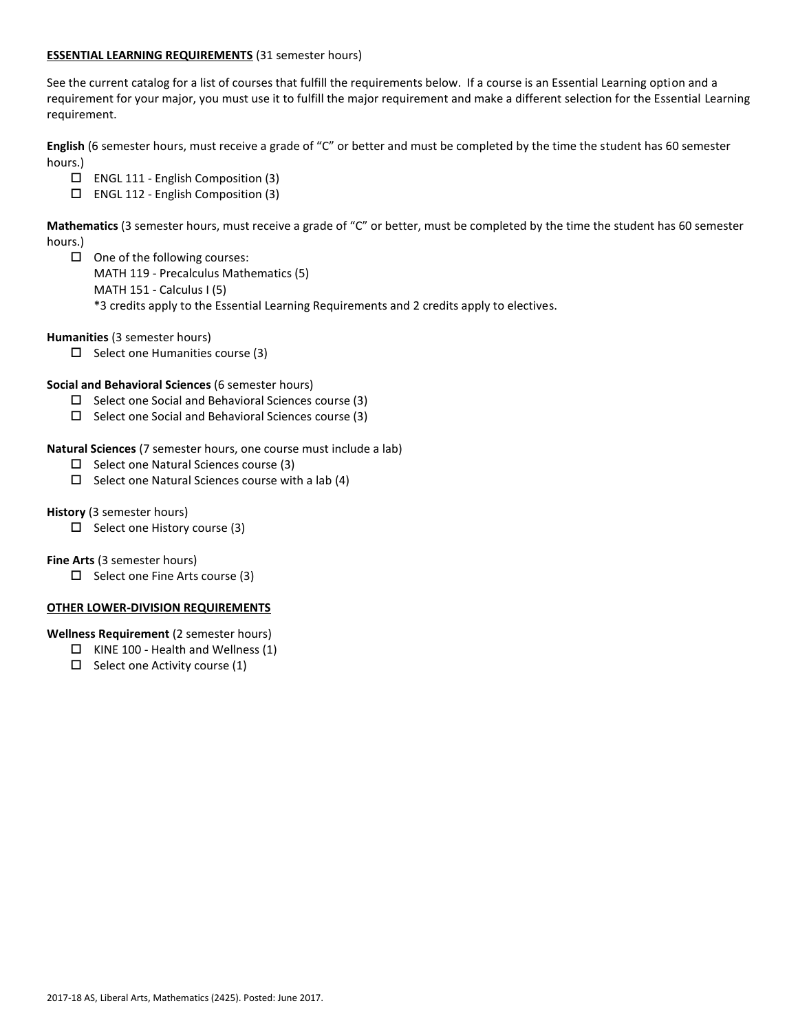#### **ESSENTIAL LEARNING REQUIREMENTS** (31 semester hours)

See the current catalog for a list of courses that fulfill the requirements below. If a course is an Essential Learning option and a requirement for your major, you must use it to fulfill the major requirement and make a different selection for the Essential Learning requirement.

**English** (6 semester hours, must receive a grade of "C" or better and must be completed by the time the student has 60 semester hours.)

- ENGL 111 English Composition (3)
- ENGL 112 English Composition (3)

**Mathematics** (3 semester hours, must receive a grade of "C" or better, must be completed by the time the student has 60 semester hours.)

 $\Box$  One of the following courses: MATH 119 - Precalculus Mathematics (5) MATH 151 - Calculus I (5) \*3 credits apply to the Essential Learning Requirements and 2 credits apply to electives.

**Humanities** (3 semester hours)

 $\Box$  Select one Humanities course (3)

**Social and Behavioral Sciences** (6 semester hours)

- $\square$  Select one Social and Behavioral Sciences course (3)
- $\Box$  Select one Social and Behavioral Sciences course (3)

**Natural Sciences** (7 semester hours, one course must include a lab)

- $\Box$  Select one Natural Sciences course (3)
- $\Box$  Select one Natural Sciences course with a lab (4)

**History** (3 semester hours)

 $\Box$  Select one History course (3)

**Fine Arts** (3 semester hours)

 $\Box$  Select one Fine Arts course (3)

## **OTHER LOWER-DIVISION REQUIREMENTS**

**Wellness Requirement** (2 semester hours)

- $\Box$  KINE 100 Health and Wellness (1)
- $\Box$  Select one Activity course (1)